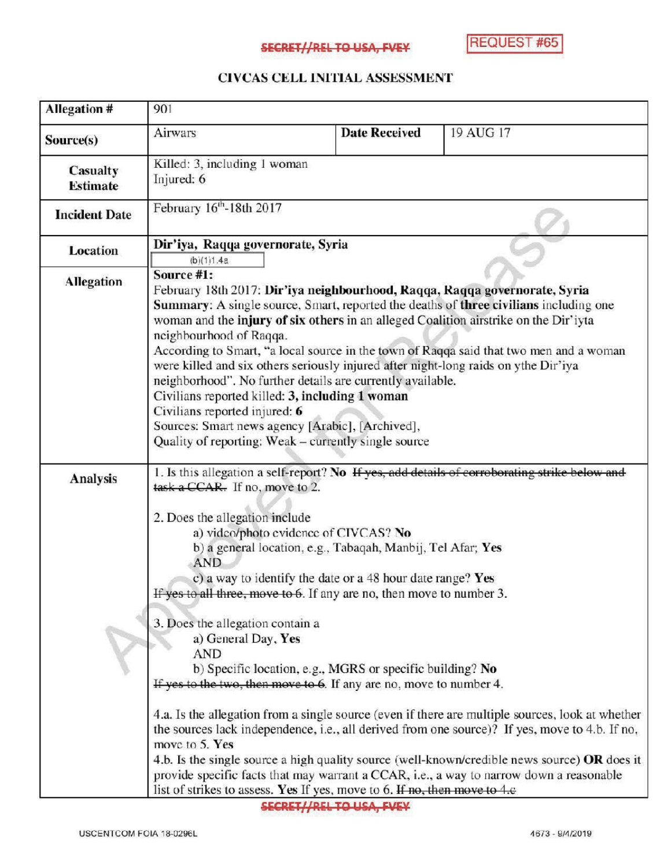## **SECRET//REL TO USA, FVEY REQUEST #65**

## CIVCAS CELL INITIAL ASSESSMENT

| Allegation #                | 901                                                                                                                                                                                                                                                                                                                                                                                                                                                                                                                                                                                                                                                                                                                                                               |                      |                                                                                                                                                                                                                                                                                                     |
|-----------------------------|-------------------------------------------------------------------------------------------------------------------------------------------------------------------------------------------------------------------------------------------------------------------------------------------------------------------------------------------------------------------------------------------------------------------------------------------------------------------------------------------------------------------------------------------------------------------------------------------------------------------------------------------------------------------------------------------------------------------------------------------------------------------|----------------------|-----------------------------------------------------------------------------------------------------------------------------------------------------------------------------------------------------------------------------------------------------------------------------------------------------|
| Source(s)                   | Airwars                                                                                                                                                                                                                                                                                                                                                                                                                                                                                                                                                                                                                                                                                                                                                           | <b>Date Received</b> | 19 AUG 17                                                                                                                                                                                                                                                                                           |
| Casualty<br><b>Estimate</b> | Killed: 3, including 1 woman<br>Injured: 6                                                                                                                                                                                                                                                                                                                                                                                                                                                                                                                                                                                                                                                                                                                        |                      |                                                                                                                                                                                                                                                                                                     |
| <b>Incident Date</b>        | February $16th$ -18th 2017                                                                                                                                                                                                                                                                                                                                                                                                                                                                                                                                                                                                                                                                                                                                        |                      |                                                                                                                                                                                                                                                                                                     |
| <b>Location</b>             | Dir'iya, Raqqa governorate, Syria<br>(b)(1)1.4a                                                                                                                                                                                                                                                                                                                                                                                                                                                                                                                                                                                                                                                                                                                   |                      |                                                                                                                                                                                                                                                                                                     |
| <b>Allegation</b>           | Source #1:<br>February 18th 2017: Dir'iya neighbourhood, Raqqa, Raqqa governorate, Syria<br><b>Summary:</b> A single source, Smart, reported the deaths of <b>three civilians</b> including one<br>woman and the injury of six others in an alleged Coalition airstrike on the Dir'iyta<br>neighbourhood of Raqqa.<br>According to Smart, "a local source in the town of Raqqa said that two men and a woman<br>were killed and six others seriously injured after night-long raids on ythe Dir'iya<br>neighborhood". No further details are currently available.<br>Civilians reported killed: 3, including 1 woman<br>Civilians reported injured: 6<br>Sources: Smart news agency [Arabic], [Archived],<br>Quality of reporting: Weak - currently single source |                      |                                                                                                                                                                                                                                                                                                     |
| Analysis                    | task a CCAR. If no, move to 2.<br>2. Does the allegation include<br>a) video/photo evidence of CIVCAS? No<br>b) a general location, e.g., Tabaqah, Manbij, Tel Afar; Yes<br>AND<br>c) a way to identify the date or a 48 hour date range? Yes<br>If yes to all three, move to 6. If any are no, then move to number 3.<br>3. Does the allegation contain a<br>a) General Day, Yes<br><b>AND</b><br>b) Specific location, e.g., MGRS or specific building? No<br>If yes to the two, then move to 6. If any are no, move to number 4.<br>move to 5. Yes                                                                                                                                                                                                             |                      | 1. Is this allegation a self-report? No If yes, add details of corroborating strike below and<br>4.a. Is the allegation from a single source (even if there are multiple sources, look at whether<br>the sources lack independence, i.e., all derived from one source)? If yes, move to 4.b. If no, |
|                             | 4.b. Is the single source a high quality source (well-known/credible news source) OR does it<br>provide specific facts that may warrant a CCAR, i.e., a way to narrow down a reasonable<br>list of strikes to assess. Yes If yes, move to 6. If no, then move to 4.e                                                                                                                                                                                                                                                                                                                                                                                                                                                                                              |                      |                                                                                                                                                                                                                                                                                                     |

SECRET//REL TO USA, FVEY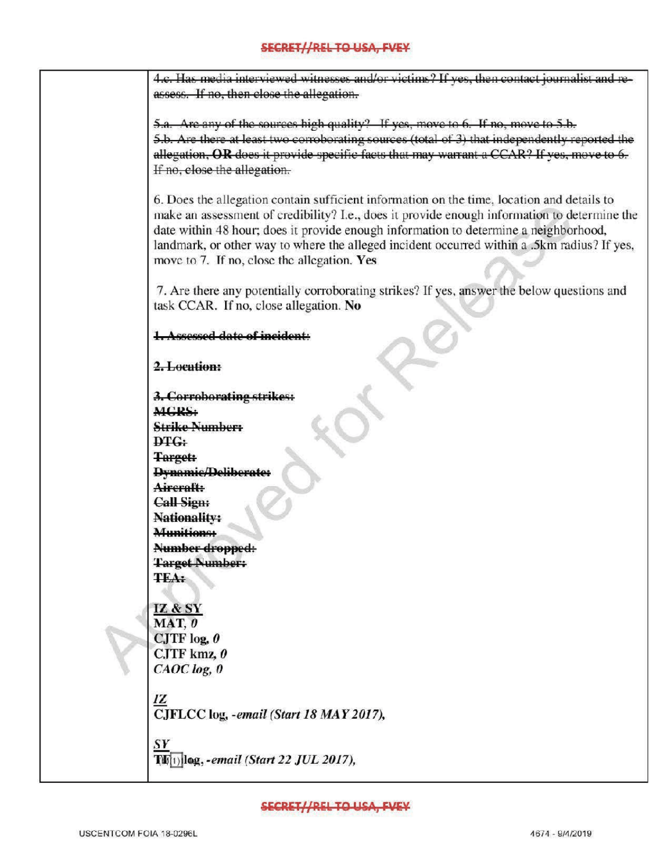4.c. Has media interviewed witnesses and/or victims? If yes, then contact journalist and reassess. If no, then close the allegation

5.a. Are any of the sources high quality? If yes, move to 6. If no, move to 5.b. 5.b. Are there at least two corroborating sources (total of 3) that independently reported the allegation, OR does it provide specific facts that may warrant a CCAR? If yes, move to 6. If no, close the allegation.

6. Does the allegation contain sufficient information on the time, location and details to make an assessment of credibility? I.e., does it provide enough information to determine the date within 48 hour; does it provide enough information to determine <sup>a</sup> neighborhood, landmark, or other way to where the alleged incident occurred within a .5km radius? If yes, move to 7. If no, close the allegation. Yes

7. Are there any potentially corroborating strikes? If yes, answer the below questions and task CCAR. If no, close allegation. No

Assessed date of incident:

2.Location:

for 3. Corroborating strikes : **MGRS:** Strike Number: DTG: **Target: Dynamic/Deliberate:** Aircraft: Call Sign; **Nationality:** Munitions: Number dropped: **Target Number:** TEA: IZ & SY  $MAT. 0$ CJTF  $log_2$  $CJTF$  kmz,  $\theta$ CAOC log, 0 IZ CJFLCC log, -email (Start 18 MAY 2017), SY  $T(f(1))$ log, -email (Start 22 JUL 2017),

SECRET//REL TO USA, EVEY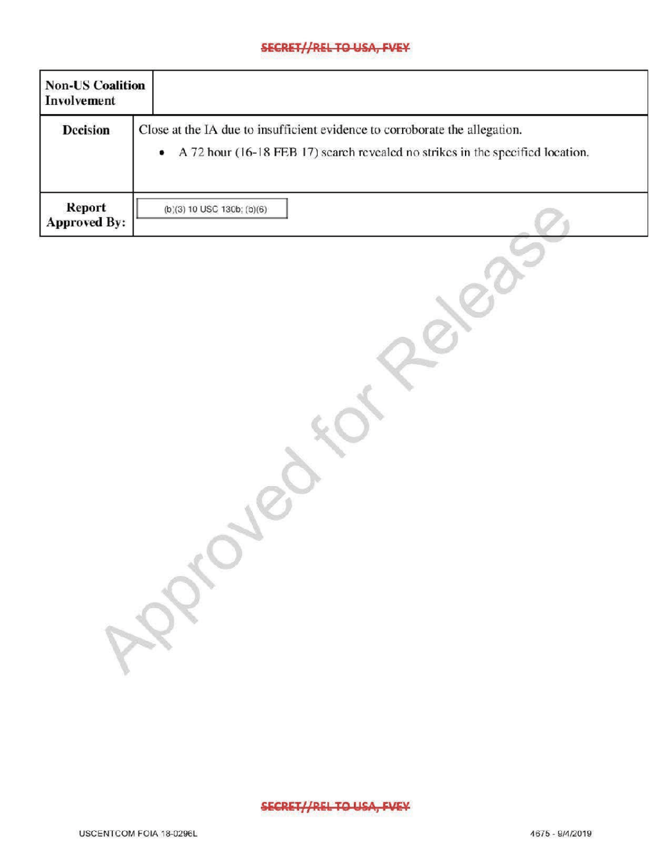## SECRET//REL TO USA, FVEY

| <b>Non-US Coalition</b><br>Involvement |                                                                                                                                                                            |  |
|----------------------------------------|----------------------------------------------------------------------------------------------------------------------------------------------------------------------------|--|
| <b>Decision</b>                        | Close at the IA due to insufficient evidence to corroborate the allegation.<br>A 72 hour (16-18 FEB 17) search revealed no strikes in the specified location.<br>$\bullet$ |  |
| Report<br><b>Approved By:</b>          | $(b)(3) 10$ USC 130b; $(b)(6)$                                                                                                                                             |  |

**SECRET//REL TO USA, FVEY** 

 $\mathcal{R}$ 

release